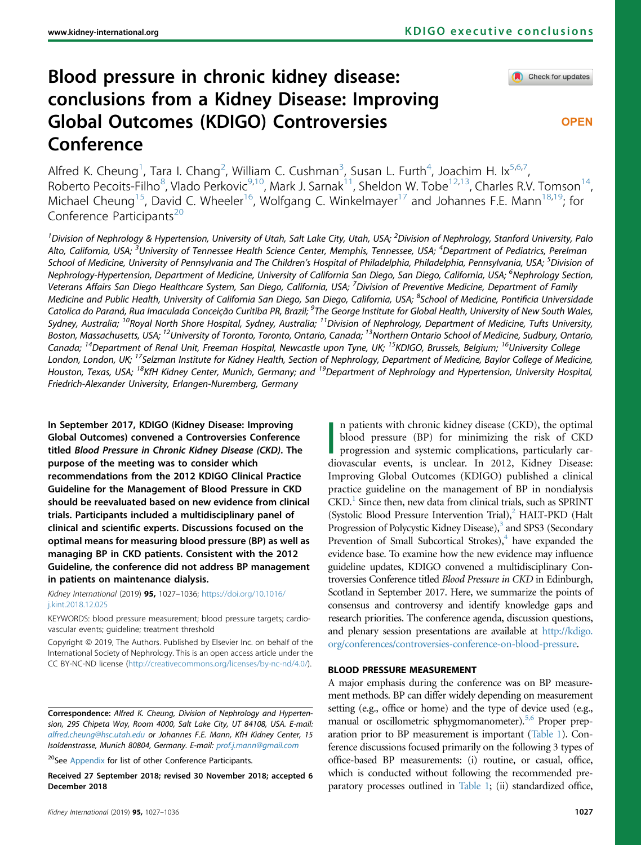# Blood pressure in chronic kidney disease: conclusions from a Kidney Disease: Improving Global Outcomes (KDIGO) Controversies Conference

Check for updates

**OPEN** 

Alfred K. Cheung<sup>1</sup>, Tara I. Chang<sup>2</sup>, William C. Cushman<sup>3</sup>, Susan L. Furth<sup>4</sup>, Joachim H. Ix<sup>5,6,7</sup> , Roberto Pecoits-Filho<sup>8</sup>, Vlado Perkovic<sup>9,10</sup>, Mark J. Sarnak<sup>11</sup>, Sheldon W. Tobe<sup>12,13</sup>, Charles R.V. Tomson<sup>14</sup>, Michael Cheung<sup>15</sup>, David C. Wheeler<sup>16</sup>, Wolfgang C. Winkelmayer<sup>17</sup> and Johannes F.E. Mann<sup>18,19</sup>; for Conference Participants<sup>20</sup>

<sup>1</sup>Division of Nephrology & Hypertension, University of Utah, Salt Lake City, Utah, USA; <sup>2</sup>Division of Nephrology, Stanford University, Palo Alto, California, USA; <sup>3</sup>University of Tennessee Health Science Center, Memphis, Tennessee, USA; <sup>4</sup>Department of Pediatrics, Perelman School of Medicine, University of Pennsylvania and The Children's Hospital of Philadelphia, Philadelphia, Pennsylvania, USA; <sup>5</sup>Division of Nephrology-Hypertension, Department of Medicine, University of California San Diego, San Diego, California, USA; <sup>6</sup>Nephrology Section, Veterans Affairs San Diego Healthcare System, San Diego, California, USA; <sup>7</sup>Division of Preventive Medicine, Department of Family Medicine and Public Health, University of California San Diego, San Diego, California, USA; <sup>8</sup>School of Medicine, Pontificia Universidade Catolica do Paraná, Rua Imaculada Conceição Curitiba PR, Brazil; <sup>9</sup>The George Institute for Global Health, University of New South Wales, Sydney, Australia; <sup>10</sup>Royal North Shore Hospital, Sydney, Australia; <sup>11</sup>Division of Nephrology, Department of Medicine, Tufts University, Boston, Massachusetts, USA; <sup>12</sup>University of Toronto, Toronto, Ontario, Canada; <sup>13</sup>Northern Ontario School of Medicine, Sudbury, Ontario, Canada; <sup>14</sup>Department of Renal Unit, Freeman Hospital, Newcastle upon Tyne, UK; <sup>15</sup>KDIGO, Brussels, Belgium; <sup>16</sup>University College London, London, UK; <sup>17</sup>Selzman Institute for Kidney Health, Section of Nephrology, Department of Medicine, Baylor College of Medicine, Houston, Texas, USA; <sup>18</sup>KfH Kidney Center, Munich, Germany; and <sup>19</sup>Department of Nephrology and Hypertension, University Hospital, Friedrich-Alexander University, Erlangen-Nuremberg, Germany

In September 2017, KDIGO (Kidney Disease: Improving Global Outcomes) convened a Controversies Conference titled Blood Pressure in Chronic Kidney Disease (CKD). The purpose of the meeting was to consider which recommendations from the 2012 KDIGO Clinical Practice Guideline for the Management of Blood Pressure in CKD should be reevaluated based on new evidence from clinical trials. Participants included a multidisciplinary panel of clinical and scientific experts. Discussions focused on the optimal means for measuring blood pressure (BP) as well as managing BP in CKD patients. Consistent with the 2012 Guideline, the conference did not address BP management in patients on maintenance dialysis.

Kidney International (2019) 95, 1027–1036; [https://doi.org/10.1016/](https://doi.org/10.1016/j.kint.2018.12.025) [j.kint.2018.12.025](https://doi.org/10.1016/j.kint.2018.12.025)

KEYWORDS: blood pressure measurement; blood pressure targets; cardiovascular events; guideline; treatment threshold

Copyright © 2019, The Authors. Published by Elsevier Inc. on behalf of the International Society of Nephrology. This is an open access article under the CC BY-NC-ND license (<http://creativecommons.org/licenses/by-nc-nd/4.0/>).

Correspondence: Alfred K. Cheung, Division of Nephrology and Hypertension, 295 Chipeta Way, Room 4000, Salt Lake City, UT 84108, USA. E-mail: [alfred.cheung@hsc.utah.edu](mailto:alfred.cheung@hsc.utah.edu) or Johannes F.E. Mann, KfH Kidney Center, 15 Isoldenstrasse, Munich 80804, Germany. E-mail: [prof.j.mann@gmail.com](mailto:prof.j.mann@gmail.com)

<sup>20</sup>See [Appendix](#page-7-0) for list of other Conference Participants.

Received 27 September 2018; revised 30 November 2018; accepted 6 December 2018

|<br>|<br>| n patients with chronic kidney disease (CKD), the optimal blood pressure (BP) for minimizing the risk of CKD progression and systemic complications, particularly cardiovascular events, is unclear. In 2012, Kidney Disease: Improving Global Outcomes (KDIGO) published a clinical practice guideline on the management of BP in nondialysis  $CKD<sup>1</sup>$  $CKD<sup>1</sup>$  $CKD<sup>1</sup>$  Since then, new data from clinical trials, such as SPRINT (Systolic Blood Pressure Intervention Trial), $<sup>2</sup>$  HALT-PKD (Halt</sup> Progression of Polycystic Kidney Disease),<sup>3</sup> and SPS3 (Secondary Prevention of Small Subcortical Strokes), $\frac{4}{3}$  have expanded the evidence base. To examine how the new evidence may influence guideline updates, KDIGO convened a multidisciplinary Controversies Conference titled Blood Pressure in CKD in Edinburgh, Scotland in September 2017. Here, we summarize the points of consensus and controversy and identify knowledge gaps and research priorities. The conference agenda, discussion questions, and plenary session presentations are available at [http://kdigo.](http://kdigo.org/conferences/controversies-conference-on-blood-pressure) [org/conferences/controversies-conference-on-blood-pressure](http://kdigo.org/conferences/controversies-conference-on-blood-pressure).

## BLOOD PRESSURE MEASUREMENT

A major emphasis during the conference was on BP measurement methods. BP can differ widely depending on measurement setting (e.g., office or home) and the type of device used (e.g., manual or oscillometric sphygmomanometer).<sup>[5,6](#page-7-0)</sup> Proper preparation prior to BP measurement is important [\(Table 1](#page-1-0)). Conference discussions focused primarily on the following 3 types of office-based BP measurements: (i) routine, or casual, office, which is conducted without following the recommended preparatory processes outlined in [Table 1;](#page-1-0) (ii) standardized office,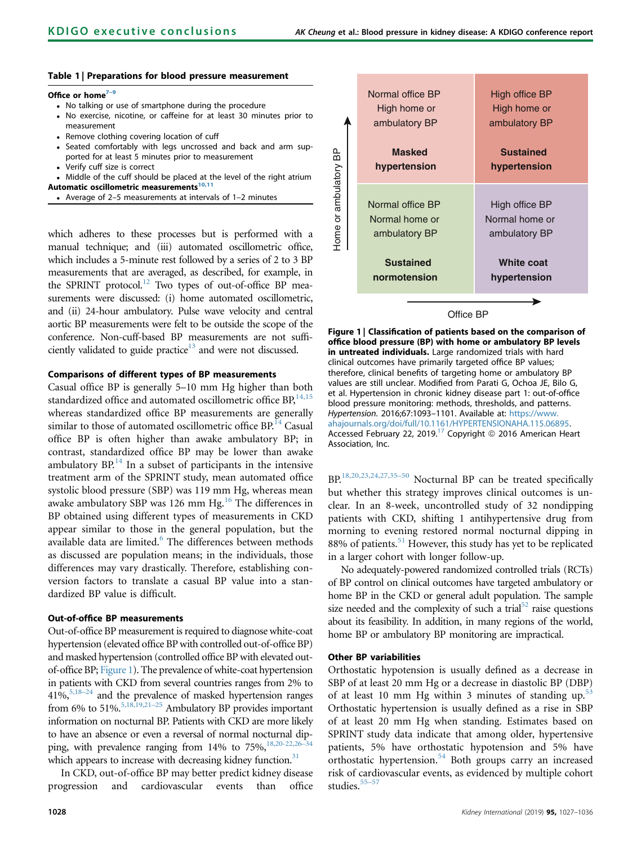## <span id="page-1-0"></span>Table 1 | Preparations for blood pressure measurement

#### Office or home $7-9$  $7-9$

- No talking or use of smartphone during the procedure
- No exercise, nicotine, or caffeine for at least 30 minutes prior to measurement
- Remove clothing covering location of cuff Seated comfortably with legs uncrossed and back and arm supported for at least 5 minutes prior to measurement
- Verify cuff size is correct

 Middle of the cuff should be placed at the level of the right atrium Automatic oscillometric measurements<sup>10,11</sup>

Average of 2–5 measurements at intervals of 1–2 minutes

which adheres to these processes but is performed with a manual technique; and (iii) automated oscillometric office, which includes a 5-minute rest followed by a series of 2 to 3 BP measurements that are averaged, as described, for example, in the SPRINT protocol.<sup>12</sup> Two types of out-of-office BP measurements were discussed: (i) home automated oscillometric, and (ii) 24-hour ambulatory. Pulse wave velocity and central aortic BP measurements were felt to be outside the scope of the conference. Non-cuff-based BP measurements are not sufficiently validated to guide practice<sup>13</sup> and were not discussed.

## Comparisons of different types of BP measurements

Casual office BP is generally 5–10 mm Hg higher than both standardized office and automated oscillometric office BP,<sup>[14,15](#page-7-0)</sup> whereas standardized office BP measurements are generally similar to those of automated oscillometric office  $BP<sup>14</sup>$  $BP<sup>14</sup>$  $BP<sup>14</sup>$  Casual office BP is often higher than awake ambulatory BP; in contrast, standardized office BP may be lower than awake ambulatory  $BP<sup>14</sup>$  $BP<sup>14</sup>$  $BP<sup>14</sup>$  In a subset of participants in the intensive treatment arm of the SPRINT study, mean automated office systolic blood pressure (SBP) was 119 mm Hg, whereas mean awake ambulatory SBP was 126 mm Hg. $^{16}$  $^{16}$  $^{16}$  The differences in BP obtained using different types of measurements in CKD appear similar to those in the general population, but the available data are limited.<sup>[6](#page-7-0)</sup> The differences between methods as discussed are population means; in the individuals, those differences may vary drastically. Therefore, establishing conversion factors to translate a casual BP value into a standardized BP value is difficult.

### Out-of-office BP measurements

Out-of-office BP measurement is required to diagnose white-coat hypertension (elevated office BP with controlled out-of-office BP) and masked hypertension (controlled office BP with elevated outof-office BP; Figure 1). The prevalence of white-coat hypertension in patients with CKD from several countries ranges from 2% to 41%[,5,18](#page-7-0)–<sup>24</sup> and the prevalence of masked hypertension ranges from 6% to 51%.<sup>5,18,19,21-25</sup> Ambulatory BP provides important information on nocturnal BP. Patients with CKD are more likely to have an absence or even a reversal of normal nocturnal dipping, with prevalence ranging from 14% to  $75\%$ ,<sup>[18,20-22,26](#page-7-0)</sup> which appears to increase with decreasing kidney function.<sup>31</sup>

In CKD, out-of-office BP may better predict kidney disease progression and cardiovascular events than office

| Home or ambulatory BP | Normal office BP<br>High home or<br>ambulatory BP<br><b>Masked</b><br>hypertension | High office BP<br>High home or<br>ambulatory BP<br><b>Sustained</b><br>hypertension |
|-----------------------|------------------------------------------------------------------------------------|-------------------------------------------------------------------------------------|
|                       | Normal office BP<br>Normal home or<br>ambulatory BP                                | High office BP<br>Normal home or<br>ambulatory BP                                   |
|                       | <b>Sustained</b><br>normotension                                                   | <b>White coat</b><br>hypertension                                                   |
| lffice BP             |                                                                                    |                                                                                     |

Figure 1 | Classification of patients based on the comparison of office blood pressure (BP) with home or ambulatory BP levels in untreated individuals. Large randomized trials with hard clinical outcomes have primarily targeted office BP values; therefore, clinical benefits of targeting home or ambulatory BP values are still unclear. Modified from Parati G, Ochoa JE, Bilo G, et al. Hypertension in chronic kidney disease part 1: out-of-office blood pressure monitoring: methods, thresholds, and patterns. Hypertension. 2016;67:1093–1101. Available at: [https://www.](https://www.ahajournals.org/doi/full/10.1161/HYPERTENSIONAHA.115.06895) [ahajournals.org/doi/full/10.1161/HYPERTENSIONAHA.115.06895.](https://www.ahajournals.org/doi/full/10.1161/HYPERTENSIONAHA.115.06895) Accessed February 22, 2019.<sup>[17](#page-7-0)</sup> Copyright  $\odot$  2016 American Heart Association, Inc.

BP.[18,20,23,24,27,35](#page-7-0)–<sup>50</sup> Nocturnal BP can be treated specifically but whether this strategy improves clinical outcomes is unclear. In an 8-week, uncontrolled study of 32 nondipping patients with CKD, shifting 1 antihypertensive drug from morning to evening restored normal nocturnal dipping in 88% of patients.<sup>[51](#page-8-0)</sup> However, this study has yet to be replicated in a larger cohort with longer follow-up.

No adequately-powered randomized controlled trials (RCTs) of BP control on clinical outcomes have targeted ambulatory or home BP in the CKD or general adult population. The sample size needed and the complexity of such a trial<sup>52</sup> raise questions about its feasibility. In addition, in many regions of the world, home BP or ambulatory BP monitoring are impractical.

#### Other BP variabilities

Orthostatic hypotension is usually defined as a decrease in SBP of at least 20 mm Hg or a decrease in diastolic BP (DBP) of at least 10 mm Hg within 3 minutes of standing up. $53$ Orthostatic hypertension is usually defined as a rise in SBP of at least 20 mm Hg when standing. Estimates based on SPRINT study data indicate that among older, hypertensive patients, 5% have orthostatic hypotension and 5% have orthostatic hypertension.<sup>[54](#page-8-0)</sup> Both groups carry an increased risk of cardiovascular events, as evidenced by multiple cohort studies.<sup>55–[57](#page-8-0)</sup>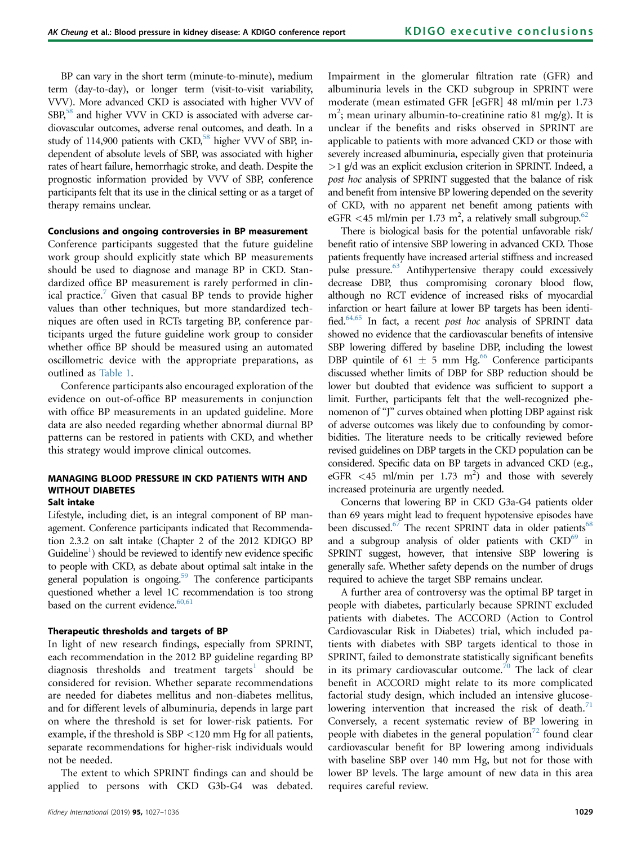BP can vary in the short term (minute-to-minute), medium term (day-to-day), or longer term (visit-to-visit variability, VVV). More advanced CKD is associated with higher VVV of  $SBR<sup>58</sup>$  and higher VVV in CKD is associated with adverse cardiovascular outcomes, adverse renal outcomes, and death. In a study of 114,900 patients with CKD,<sup>[58](#page-8-0)</sup> higher VVV of SBP, independent of absolute levels of SBP, was associated with higher rates of heart failure, hemorrhagic stroke, and death. Despite the prognostic information provided by VVV of SBP, conference participants felt that its use in the clinical setting or as a target of therapy remains unclear.

#### Conclusions and ongoing controversies in BP measurement

Conference participants suggested that the future guideline work group should explicitly state which BP measurements should be used to diagnose and manage BP in CKD. Standardized office BP measurement is rarely performed in clinical practice.<sup>7</sup> Given that casual BP tends to provide higher values than other techniques, but more standardized techniques are often used in RCTs targeting BP, conference participants urged the future guideline work group to consider whether office BP should be measured using an automated oscillometric device with the appropriate preparations, as outlined as [Table 1](#page-1-0).

Conference participants also encouraged exploration of the evidence on out-of-office BP measurements in conjunction with office BP measurements in an updated guideline. More data are also needed regarding whether abnormal diurnal BP patterns can be restored in patients with CKD, and whether this strategy would improve clinical outcomes.

# MANAGING BLOOD PRESSURE IN CKD PATIENTS WITH AND WITHOUT DIABETES

## Salt intake

Lifestyle, including diet, is an integral component of BP management. Conference participants indicated that Recommendation 2.3.2 on salt intake (Chapter 2 of the 2012 KDIGO BP Guideline<sup>1</sup>) should be reviewed to identify new evidence specific to people with CKD, as debate about optimal salt intake in the general population is ongoing.<sup>[59](#page-8-0)</sup> The conference participants questioned whether a level 1C recommendation is too strong based on the current evidence.<sup>[60,61](#page-8-0)</sup>

## Therapeutic thresholds and targets of BP

In light of new research findings, especially from SPRINT, each recommendation in the 2012 BP guideline regarding BP diagnosis thresholds and treatment targets<sup>[1](#page-7-0)</sup> should be considered for revision. Whether separate recommendations are needed for diabetes mellitus and non-diabetes mellitus, and for different levels of albuminuria, depends in large part on where the threshold is set for lower-risk patients. For example, if the threshold is SBP <120 mm Hg for all patients, separate recommendations for higher-risk individuals would not be needed.

The extent to which SPRINT findings can and should be applied to persons with CKD G3b-G4 was debated.

Impairment in the glomerular filtration rate (GFR) and albuminuria levels in the CKD subgroup in SPRINT were moderate (mean estimated GFR [eGFR] 48 ml/min per 1.73 m<sup>2</sup>; mean urinary albumin-to-creatinine ratio 81 mg/g). It is unclear if the benefits and risks observed in SPRINT are applicable to patients with more advanced CKD or those with severely increased albuminuria, especially given that proteinuria >1 g/d was an explicit exclusion criterion in SPRINT. Indeed, a post hoc analysis of SPRINT suggested that the balance of risk and benefit from intensive BP lowering depended on the severity of CKD, with no apparent net benefit among patients with eGFR <45 ml/min per 1.73 m<sup>2</sup>, a relatively small subgroup.<sup>62</sup>

There is biological basis for the potential unfavorable risk/ benefit ratio of intensive SBP lowering in advanced CKD. Those patients frequently have increased arterial stiffness and increased pulse pressure.<sup>[63](#page-8-0)</sup> Antihypertensive therapy could excessively decrease DBP, thus compromising coronary blood flow, although no RCT evidence of increased risks of myocardial infarction or heart failure at lower BP targets has been identified.<sup>64,65</sup> In fact, a recent post hoc analysis of SPRINT data showed no evidence that the cardiovascular benefits of intensive SBP lowering differed by baseline DBP, including the lowest DBP quintile of 61  $\pm$  5 mm Hg.<sup>[66](#page-8-0)</sup> Conference participants discussed whether limits of DBP for SBP reduction should be lower but doubted that evidence was sufficient to support a limit. Further, participants felt that the well-recognized phenomenon of "J" curves obtained when plotting DBP against risk of adverse outcomes was likely due to confounding by comorbidities. The literature needs to be critically reviewed before revised guidelines on DBP targets in the CKD population can be considered. Specific data on BP targets in advanced CKD (e.g., eGFR <45 ml/min per 1.73 m<sup>2</sup>) and those with severely increased proteinuria are urgently needed.

Concerns that lowering BP in CKD G3a-G4 patients older than 69 years might lead to frequent hypotensive episodes have been discussed.<sup>[67](#page-8-0)</sup> The recent SPRINT data in older patients<sup>[68](#page-8-0)</sup> and a subgroup analysis of older patients with CKD<sup>69</sup> in SPRINT suggest, however, that intensive SBP lowering is generally safe. Whether safety depends on the number of drugs required to achieve the target SBP remains unclear.

A further area of controversy was the optimal BP target in people with diabetes, particularly because SPRINT excluded patients with diabetes. The ACCORD (Action to Control Cardiovascular Risk in Diabetes) trial, which included patients with diabetes with SBP targets identical to those in SPRINT, failed to demonstrate statistically significant benefits in its primary cardiovascular outcome.<sup>[70](#page-8-0)</sup> The lack of clear benefit in ACCORD might relate to its more complicated factorial study design, which included an intensive glucose-lowering intervention that increased the risk of death.<sup>[71](#page-8-0)</sup> Conversely, a recent systematic review of BP lowering in people with diabetes in the general population<sup>[72](#page-8-0)</sup> found clear cardiovascular benefit for BP lowering among individuals with baseline SBP over 140 mm Hg, but not for those with lower BP levels. The large amount of new data in this area requires careful review.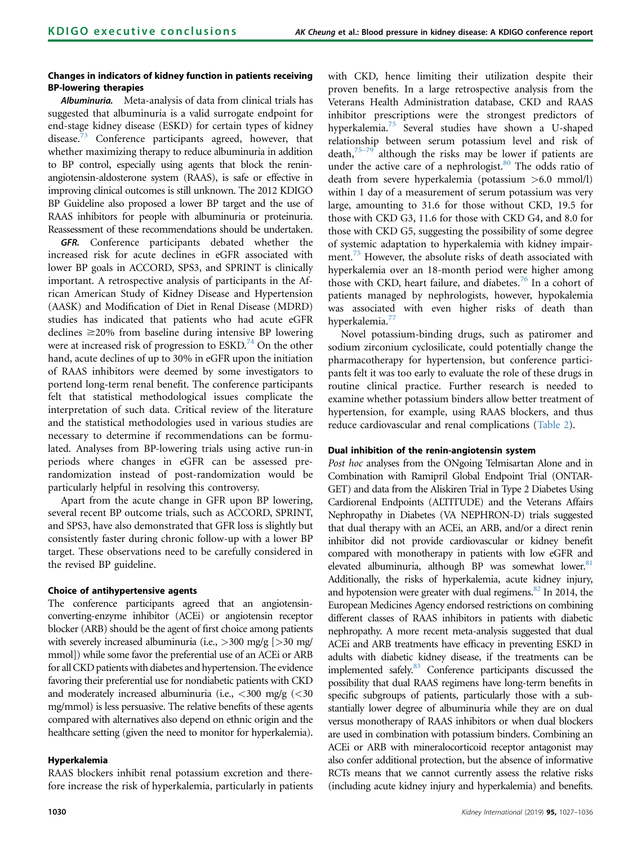## Changes in indicators of kidney function in patients receiving BP-lowering therapies

Albuminuria. Meta-analysis of data from clinical trials has suggested that albuminuria is a valid surrogate endpoint for end-stage kidney disease (ESKD) for certain types of kidney disease.<sup>[73](#page-8-0)</sup> Conference participants agreed, however, that whether maximizing therapy to reduce albuminuria in addition to BP control, especially using agents that block the reninangiotensin-aldosterone system (RAAS), is safe or effective in improving clinical outcomes is still unknown. The 2012 KDIGO BP Guideline also proposed a lower BP target and the use of RAAS inhibitors for people with albuminuria or proteinuria. Reassessment of these recommendations should be undertaken.

GFR. Conference participants debated whether the increased risk for acute declines in eGFR associated with lower BP goals in ACCORD, SPS3, and SPRINT is clinically important. A retrospective analysis of participants in the African American Study of Kidney Disease and Hypertension (AASK) and Modification of Diet in Renal Disease (MDRD) studies has indicated that patients who had acute eGFR declines  $\geq$ 20% from baseline during intensive BP lowering were at increased risk of progression to  $ESKD<sup>74</sup>$  $ESKD<sup>74</sup>$  $ESKD<sup>74</sup>$  On the other hand, acute declines of up to 30% in eGFR upon the initiation of RAAS inhibitors were deemed by some investigators to portend long-term renal benefit. The conference participants felt that statistical methodological issues complicate the interpretation of such data. Critical review of the literature and the statistical methodologies used in various studies are necessary to determine if recommendations can be formulated. Analyses from BP-lowering trials using active run-in periods where changes in eGFR can be assessed prerandomization instead of post-randomization would be particularly helpful in resolving this controversy.

Apart from the acute change in GFR upon BP lowering, several recent BP outcome trials, such as ACCORD, SPRINT, and SPS3, have also demonstrated that GFR loss is slightly but consistently faster during chronic follow-up with a lower BP target. These observations need to be carefully considered in the revised BP guideline.

## Choice of antihypertensive agents

The conference participants agreed that an angiotensinconverting-enzyme inhibitor (ACEi) or angiotensin receptor blocker (ARB) should be the agent of first choice among patients with severely increased albuminuria (i.e.,  $>$ 300 mg/g [ $>$ 30 mg/ mmol]) while some favor the preferential use of an ACEi or ARB for all CKD patients with diabetes and hypertension. The evidence favoring their preferential use for nondiabetic patients with CKD and moderately increased albuminuria (i.e.,  $\langle 300 \rangle$  mg/g ( $\langle 30 \rangle$ mg/mmol) is less persuasive. The relative benefits of these agents compared with alternatives also depend on ethnic origin and the healthcare setting (given the need to monitor for hyperkalemia).

## Hyperkalemia

RAAS blockers inhibit renal potassium excretion and therefore increase the risk of hyperkalemia, particularly in patients with CKD, hence limiting their utilization despite their proven benefits. In a large retrospective analysis from the Veterans Health Administration database, CKD and RAAS inhibitor prescriptions were the strongest predictors of hyperkalemia.[75](#page-9-0) Several studies have shown a U-shaped relationship between serum potassium level and risk of death, $75-79$  $75-79$  although the risks may be lower if patients are under the active care of a nephrologist. $80$  The odds ratio of death from severe hyperkalemia (potassium >6.0 mmol/l) within 1 day of a measurement of serum potassium was very large, amounting to 31.6 for those without CKD, 19.5 for those with CKD G3, 11.6 for those with CKD G4, and 8.0 for those with CKD G5, suggesting the possibility of some degree of systemic adaptation to hyperkalemia with kidney impair-ment.<sup>[75](#page-9-0)</sup> However, the absolute risks of death associated with hyperkalemia over an 18-month period were higher among those with CKD, heart failure, and diabetes. $76$  In a cohort of patients managed by nephrologists, however, hypokalemia was associated with even higher risks of death than hyperkalemia.<sup>7</sup>

Novel potassium-binding drugs, such as patiromer and sodium zirconium cyclosilicate, could potentially change the pharmacotherapy for hypertension, but conference participants felt it was too early to evaluate the role of these drugs in routine clinical practice. Further research is needed to examine whether potassium binders allow better treatment of hypertension, for example, using RAAS blockers, and thus reduce cardiovascular and renal complications ([Table 2](#page-4-0)).

## Dual inhibition of the renin-angiotensin system

Post hoc analyses from the ONgoing Telmisartan Alone and in Combination with Ramipril Global Endpoint Trial (ONTAR-GET) and data from the Aliskiren Trial in Type 2 Diabetes Using Cardiorenal Endpoints (ALTITUDE) and the Veterans Affairs Nephropathy in Diabetes (VA NEPHRON-D) trials suggested that dual therapy with an ACEi, an ARB, and/or a direct renin inhibitor did not provide cardiovascular or kidney benefit compared with monotherapy in patients with low eGFR and elevated albuminuria, although BP was somewhat lower.<sup>[81](#page-9-0)</sup> Additionally, the risks of hyperkalemia, acute kidney injury, and hypotension were greater with dual regimens. $82$  In 2014, the European Medicines Agency endorsed restrictions on combining different classes of RAAS inhibitors in patients with diabetic nephropathy. A more recent meta-analysis suggested that dual ACEi and ARB treatments have efficacy in preventing ESKD in adults with diabetic kidney disease, if the treatments can be implemented safely.<sup>83</sup> Conference participants discussed the possibility that dual RAAS regimens have long-term benefits in specific subgroups of patients, particularly those with a substantially lower degree of albuminuria while they are on dual versus monotherapy of RAAS inhibitors or when dual blockers are used in combination with potassium binders. Combining an ACEi or ARB with mineralocorticoid receptor antagonist may also confer additional protection, but the absence of informative RCTs means that we cannot currently assess the relative risks (including acute kidney injury and hyperkalemia) and benefits.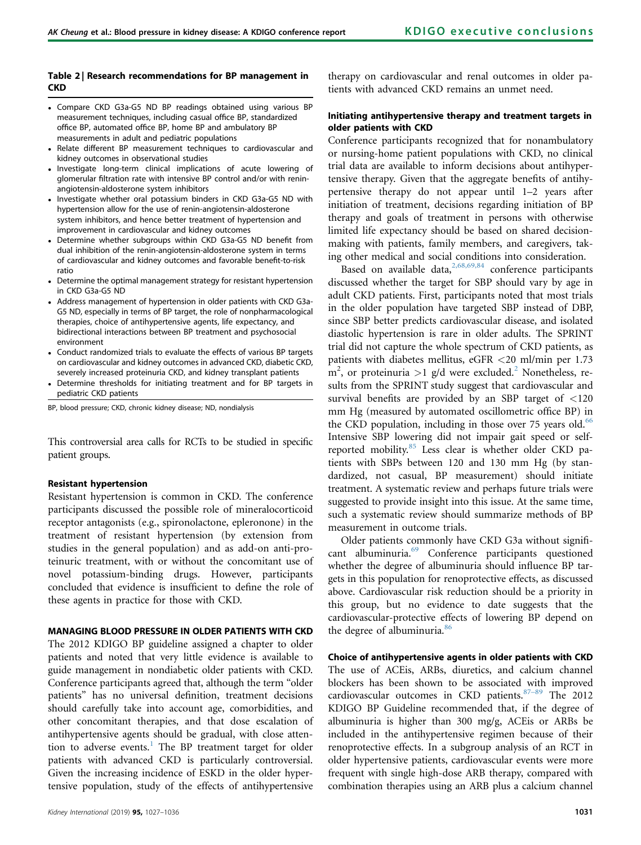#### <span id="page-4-0"></span>Table 2 | Research recommendations for BP management in **CKD**

- Compare CKD G3a-G5 ND BP readings obtained using various BP measurement techniques, including casual office BP, standardized office BP, automated office BP, home BP and ambulatory BP measurements in adult and pediatric populations
- Relate different BP measurement techniques to cardiovascular and kidney outcomes in observational studies
- . Investigate long-term clinical implications of acute lowering of glomerular filtration rate with intensive BP control and/or with reninangiotensin-aldosterone system inhibitors
- Investigate whether oral potassium binders in CKD G3a-G5 ND with hypertension allow for the use of renin-angiotensin-aldosterone system inhibitors, and hence better treatment of hypertension and improvement in cardiovascular and kidney outcomes
- Determine whether subgroups within CKD G3a-G5 ND benefit from dual inhibition of the renin-angiotensin-aldosterone system in terms of cardiovascular and kidney outcomes and favorable benefit-to-risk ratio
- Determine the optimal management strategy for resistant hypertension in CKD G3a-G5 ND
- Address management of hypertension in older patients with CKD G3a-G5 ND, especially in terms of BP target, the role of nonpharmacological therapies, choice of antihypertensive agents, life expectancy, and bidirectional interactions between BP treatment and psychosocial environment
- Conduct randomized trials to evaluate the effects of various BP targets on cardiovascular and kidney outcomes in advanced CKD, diabetic CKD, severely increased proteinuria CKD, and kidney transplant patients
- Determine thresholds for initiating treatment and for BP targets in pediatric CKD patients

BP, blood pressure; CKD, chronic kidney disease; ND, nondialysis

This controversial area calls for RCTs to be studied in specific patient groups.

#### Resistant hypertension

Resistant hypertension is common in CKD. The conference participants discussed the possible role of mineralocorticoid receptor antagonists (e.g., spironolactone, epleronone) in the treatment of resistant hypertension (by extension from studies in the general population) and as add-on anti-proteinuric treatment, with or without the concomitant use of novel potassium-binding drugs. However, participants concluded that evidence is insufficient to define the role of these agents in practice for those with CKD.

#### MANAGING BLOOD PRESSURE IN OLDER PATIENTS WITH CKD

The 2012 KDIGO BP guideline assigned a chapter to older patients and noted that very little evidence is available to guide management in nondiabetic older patients with CKD. Conference participants agreed that, although the term "older patients" has no universal definition, treatment decisions should carefully take into account age, comorbidities, and other concomitant therapies, and that dose escalation of antihypertensive agents should be gradual, with close atten-tion to adverse events.<sup>[1](#page-7-0)</sup> The BP treatment target for older patients with advanced CKD is particularly controversial. Given the increasing incidence of ESKD in the older hypertensive population, study of the effects of antihypertensive therapy on cardiovascular and renal outcomes in older patients with advanced CKD remains an unmet need.

## Initiating antihypertensive therapy and treatment targets in older patients with CKD

Conference participants recognized that for nonambulatory or nursing-home patient populations with CKD, no clinical trial data are available to inform decisions about antihypertensive therapy. Given that the aggregate benefits of antihypertensive therapy do not appear until 1–2 years after initiation of treatment, decisions regarding initiation of BP therapy and goals of treatment in persons with otherwise limited life expectancy should be based on shared decisionmaking with patients, family members, and caregivers, taking other medical and social conditions into consideration.

Based on available data,  $2,68,69,84$  conference participants discussed whether the target for SBP should vary by age in adult CKD patients. First, participants noted that most trials in the older population have targeted SBP instead of DBP, since SBP better predicts cardiovascular disease, and isolated diastolic hypertension is rare in older adults. The SPRINT trial did not capture the whole spectrum of CKD patients, as patients with diabetes mellitus, eGFR <20 ml/min per 1.73  $\text{m}^2$  $\text{m}^2$ , or proteinuria >1 g/d were excluded.<sup>2</sup> Nonetheless, results from the SPRINT study suggest that cardiovascular and survival benefits are provided by an SBP target of <120 mm Hg (measured by automated oscillometric office BP) in the CKD population, including in those over 75 years old. $66$ Intensive SBP lowering did not impair gait speed or self-reported mobility.<sup>[85](#page-9-0)</sup> Less clear is whether older CKD patients with SBPs between 120 and 130 mm Hg (by standardized, not casual, BP measurement) should initiate treatment. A systematic review and perhaps future trials were suggested to provide insight into this issue. At the same time, such a systematic review should summarize methods of BP measurement in outcome trials.

Older patients commonly have CKD G3a without significant albuminuria.[69](#page-8-0) Conference participants questioned whether the degree of albuminuria should influence BP targets in this population for renoprotective effects, as discussed above. Cardiovascular risk reduction should be a priority in this group, but no evidence to date suggests that the cardiovascular-protective effects of lowering BP depend on the degree of albuminuria.<sup>[86](#page-9-0)</sup>

Choice of antihypertensive agents in older patients with CKD The use of ACEis, ARBs, diuretics, and calcium channel blockers has been shown to be associated with improved cardiovascular outcomes in CKD patients. 87-[89](#page-9-0) The 2012 KDIGO BP Guideline recommended that, if the degree of albuminuria is higher than 300 mg/g, ACEis or ARBs be included in the antihypertensive regimen because of their renoprotective effects. In a subgroup analysis of an RCT in older hypertensive patients, cardiovascular events were more frequent with single high-dose ARB therapy, compared with combination therapies using an ARB plus a calcium channel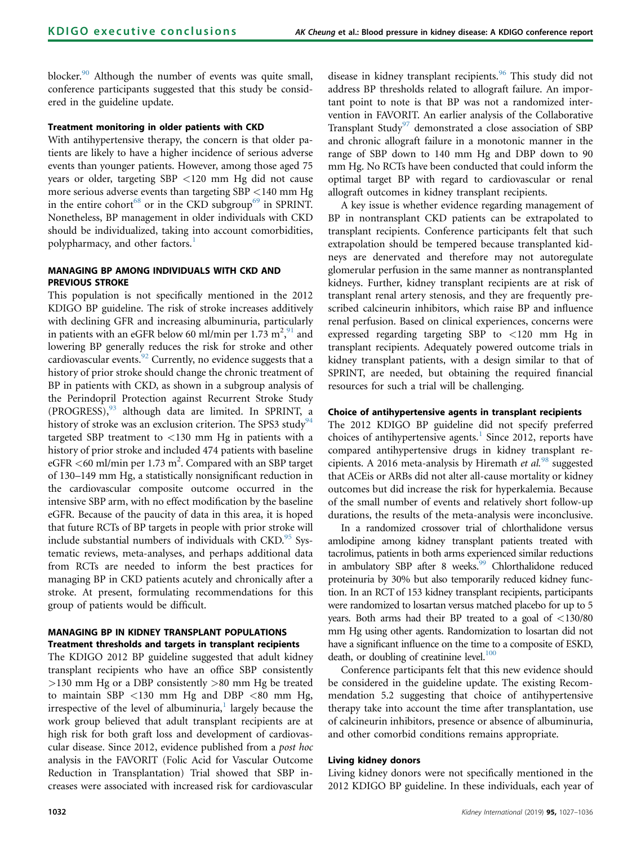blocker.<sup>[90](#page-9-0)</sup> Although the number of events was quite small, conference participants suggested that this study be considered in the guideline update.

## Treatment monitoring in older patients with CKD

With antihypertensive therapy, the concern is that older patients are likely to have a higher incidence of serious adverse events than younger patients. However, among those aged 75 years or older, targeting SBP <120 mm Hg did not cause more serious adverse events than targeting SBP <140 mm Hg in the entire cohort<sup>[68](#page-8-0)</sup> or in the CKD subgroup<sup>[69](#page-8-0)</sup> in SPRINT. Nonetheless, BP management in older individuals with CKD should be individualized, taking into account comorbidities, polypharmacy, and other factors.<sup>[1](#page-7-0)</sup>

## MANAGING BP AMONG INDIVIDUALS WITH CKD AND PREVIOUS STROKE

This population is not specifically mentioned in the 2012 KDIGO BP guideline. The risk of stroke increases additively with declining GFR and increasing albuminuria, particularly in patients with an eGFR below 60 ml/min per 1.73  $m^2$ , and lowering BP generally reduces the risk for stroke and other cardiovascular events.<sup>[92](#page-9-0)</sup> Currently, no evidence suggests that a history of prior stroke should change the chronic treatment of BP in patients with CKD, as shown in a subgroup analysis of the Perindopril Protection against Recurrent Stroke Study (PROGRESS),<sup>[93](#page-9-0)</sup> although data are limited. In SPRINT, a history of stroke was an exclusion criterion. The SPS3 study<sup>[94](#page-9-0)</sup> targeted SBP treatment to <130 mm Hg in patients with a history of prior stroke and included 474 patients with baseline eGFR <60 ml/min per 1.73 m<sup>2</sup>. Compared with an SBP target of 130–149 mm Hg, a statistically nonsignificant reduction in the cardiovascular composite outcome occurred in the intensive SBP arm, with no effect modification by the baseline eGFR. Because of the paucity of data in this area, it is hoped that future RCTs of BP targets in people with prior stroke will include substantial numbers of individuals with CKD.<sup>[95](#page-9-0)</sup> Systematic reviews, meta-analyses, and perhaps additional data from RCTs are needed to inform the best practices for managing BP in CKD patients acutely and chronically after a stroke. At present, formulating recommendations for this group of patients would be difficult.

## MANAGING BP IN KIDNEY TRANSPLANT POPULATIONS Treatment thresholds and targets in transplant recipients

The KDIGO 2012 BP guideline suggested that adult kidney transplant recipients who have an office SBP consistently >130 mm Hg or a DBP consistently >80 mm Hg be treated to maintain SBP  $<$ 130 mm Hg and DBP  $<$ 80 mm Hg, irrespective of the level of albuminuria, $\frac{1}{1}$  $\frac{1}{1}$  $\frac{1}{1}$  largely because the work group believed that adult transplant recipients are at high risk for both graft loss and development of cardiovascular disease. Since 2012, evidence published from a post hoc analysis in the FAVORIT (Folic Acid for Vascular Outcome Reduction in Transplantation) Trial showed that SBP increases were associated with increased risk for cardiovascular disease in kidney transplant recipients.<sup>[96](#page-9-0)</sup> This study did not address BP thresholds related to allograft failure. An important point to note is that BP was not a randomized intervention in FAVORIT. An earlier analysis of the Collaborative Transplant Study<sup>[97](#page-9-0)</sup> demonstrated a close association of SBP and chronic allograft failure in a monotonic manner in the range of SBP down to 140 mm Hg and DBP down to 90 mm Hg. No RCTs have been conducted that could inform the optimal target BP with regard to cardiovascular or renal allograft outcomes in kidney transplant recipients.

A key issue is whether evidence regarding management of BP in nontransplant CKD patients can be extrapolated to transplant recipients. Conference participants felt that such extrapolation should be tempered because transplanted kidneys are denervated and therefore may not autoregulate glomerular perfusion in the same manner as nontransplanted kidneys. Further, kidney transplant recipients are at risk of transplant renal artery stenosis, and they are frequently prescribed calcineurin inhibitors, which raise BP and influence renal perfusion. Based on clinical experiences, concerns were expressed regarding targeting SBP to <120 mm Hg in transplant recipients. Adequately powered outcome trials in kidney transplant patients, with a design similar to that of SPRINT, are needed, but obtaining the required financial resources for such a trial will be challenging.

## Choice of antihypertensive agents in transplant recipients

The 2012 KDIGO BP guideline did not specify preferred choices of antihypertensive agents.<sup>[1](#page-7-0)</sup> Since 2012, reports have compared antihypertensive drugs in kidney transplant re-cipients. A 2016 meta-analysis by Hiremath et al.<sup>[98](#page-9-0)</sup> suggested that ACEis or ARBs did not alter all-cause mortality or kidney outcomes but did increase the risk for hyperkalemia. Because of the small number of events and relatively short follow-up durations, the results of the meta-analysis were inconclusive.

In a randomized crossover trial of chlorthalidone versus amlodipine among kidney transplant patients treated with tacrolimus, patients in both arms experienced similar reductions in ambulatory SBP after 8 weeks.<sup>[99](#page-9-0)</sup> Chlorthalidone reduced proteinuria by 30% but also temporarily reduced kidney function. In an RCT of 153 kidney transplant recipients, participants were randomized to losartan versus matched placebo for up to 5 years. Both arms had their BP treated to a goal of <130/80 mm Hg using other agents. Randomization to losartan did not have a significant influence on the time to a composite of ESKD, death, or doubling of creatinine level. $100$ 

Conference participants felt that this new evidence should be considered in the guideline update. The existing Recommendation 5.2 suggesting that choice of antihypertensive therapy take into account the time after transplantation, use of calcineurin inhibitors, presence or absence of albuminuria, and other comorbid conditions remains appropriate.

## Living kidney donors

Living kidney donors were not specifically mentioned in the 2012 KDIGO BP guideline. In these individuals, each year of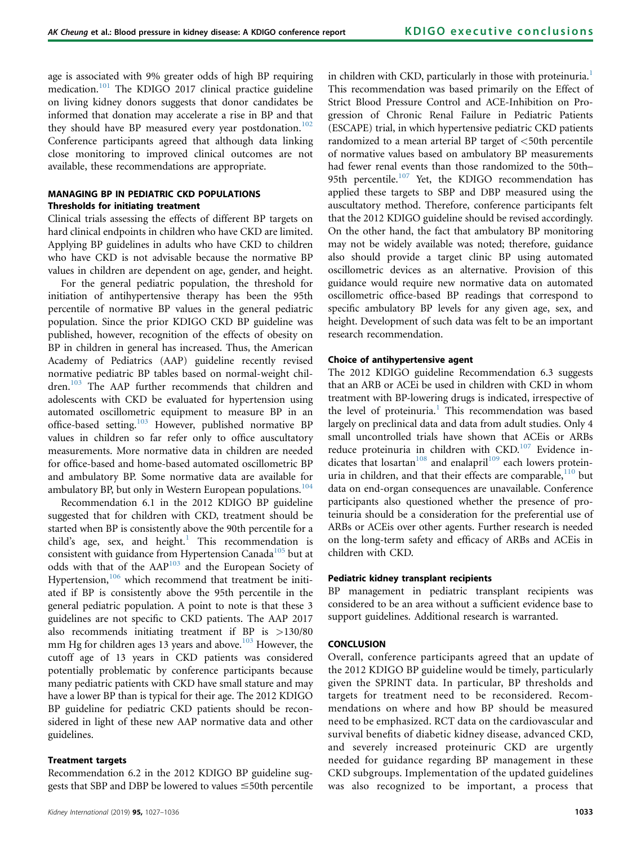age is associated with 9% greater odds of high BP requiring medication.<sup>[101](#page-9-0)</sup> The KDIGO 2017 clinical practice guideline on living kidney donors suggests that donor candidates be informed that donation may accelerate a rise in BP and that they should have BP measured every year postdonation.<sup>[102](#page-9-0)</sup> Conference participants agreed that although data linking close monitoring to improved clinical outcomes are not available, these recommendations are appropriate.

## MANAGING BP IN PEDIATRIC CKD POPULATIONS Thresholds for initiating treatment

Clinical trials assessing the effects of different BP targets on hard clinical endpoints in children who have CKD are limited. Applying BP guidelines in adults who have CKD to children who have CKD is not advisable because the normative BP values in children are dependent on age, gender, and height.

For the general pediatric population, the threshold for initiation of antihypertensive therapy has been the 95th percentile of normative BP values in the general pediatric population. Since the prior KDIGO CKD BP guideline was published, however, recognition of the effects of obesity on BP in children in general has increased. Thus, the American Academy of Pediatrics (AAP) guideline recently revised normative pediatric BP tables based on normal-weight children.<sup>103</sup> The AAP further recommends that children and adolescents with CKD be evaluated for hypertension using automated oscillometric equipment to measure BP in an office-based setting.[103](#page-9-0) However, published normative BP values in children so far refer only to office auscultatory measurements. More normative data in children are needed for office-based and home-based automated oscillometric BP and ambulatory BP. Some normative data are available for ambulatory BP, but only in Western European populations.<sup>[104](#page-9-0)</sup>

Recommendation 6.1 in the 2012 KDIGO BP guideline suggested that for children with CKD, treatment should be started when BP is consistently above the 90th percentile for a child's age, sex, and height.<sup>[1](#page-7-0)</sup> This recommendation is consistent with guidance from Hypertension Canada<sup>[105](#page-9-0)</sup> but at odds with that of the AAP<sup>[103](#page-9-0)</sup> and the European Society of Hypertension, $106$  which recommend that treatment be initiated if BP is consistently above the 95th percentile in the general pediatric population. A point to note is that these 3 guidelines are not specific to CKD patients. The AAP 2017 also recommends initiating treatment if BP is >130/80 mm Hg for children ages 13 years and above.<sup>[103](#page-9-0)</sup> However, the cutoff age of 13 years in CKD patients was considered potentially problematic by conference participants because many pediatric patients with CKD have small stature and may have a lower BP than is typical for their age. The 2012 KDIGO BP guideline for pediatric CKD patients should be reconsidered in light of these new AAP normative data and other guidelines.

#### Treatment targets

Recommendation 6.2 in the 2012 KDIGO BP guideline suggests that SBP and DBP be lowered to values  $\leq$ 50th percentile in children with CKD, particularly in those with proteinuria.<sup>[1](#page-7-0)</sup> This recommendation was based primarily on the Effect of Strict Blood Pressure Control and ACE-Inhibition on Progression of Chronic Renal Failure in Pediatric Patients (ESCAPE) trial, in which hypertensive pediatric CKD patients randomized to a mean arterial BP target of <50th percentile of normative values based on ambulatory BP measurements had fewer renal events than those randomized to the 50th– 95th percentile.<sup>[107](#page-9-0)</sup> Yet, the KDIGO recommendation has applied these targets to SBP and DBP measured using the auscultatory method. Therefore, conference participants felt that the 2012 KDIGO guideline should be revised accordingly. On the other hand, the fact that ambulatory BP monitoring may not be widely available was noted; therefore, guidance also should provide a target clinic BP using automated oscillometric devices as an alternative. Provision of this guidance would require new normative data on automated oscillometric office-based BP readings that correspond to specific ambulatory BP levels for any given age, sex, and height. Development of such data was felt to be an important research recommendation.

#### Choice of antihypertensive agent

The 2012 KDIGO guideline Recommendation 6.3 suggests that an ARB or ACEi be used in children with CKD in whom treatment with BP-lowering drugs is indicated, irrespective of the level of proteinuria.<sup>[1](#page-7-0)</sup> This recommendation was based largely on preclinical data and data from adult studies. Only 4 small uncontrolled trials have shown that ACEis or ARBs reduce proteinuria in children with CKD.<sup>[107](#page-9-0)</sup> Evidence in-dicates that losartan<sup>[108](#page-9-0)</sup> and enalapril<sup>[109](#page-9-0)</sup> each lowers proteinuria in children, and that their effects are comparable,  $110$  but data on end-organ consequences are unavailable. Conference participants also questioned whether the presence of proteinuria should be a consideration for the preferential use of ARBs or ACEis over other agents. Further research is needed on the long-term safety and efficacy of ARBs and ACEis in children with CKD.

### Pediatric kidney transplant recipients

BP management in pediatric transplant recipients was considered to be an area without a sufficient evidence base to support guidelines. Additional research is warranted.

## **CONCLUSION**

Overall, conference participants agreed that an update of the 2012 KDIGO BP guideline would be timely, particularly given the SPRINT data. In particular, BP thresholds and targets for treatment need to be reconsidered. Recommendations on where and how BP should be measured need to be emphasized. RCT data on the cardiovascular and survival benefits of diabetic kidney disease, advanced CKD, and severely increased proteinuric CKD are urgently needed for guidance regarding BP management in these CKD subgroups. Implementation of the updated guidelines was also recognized to be important, a process that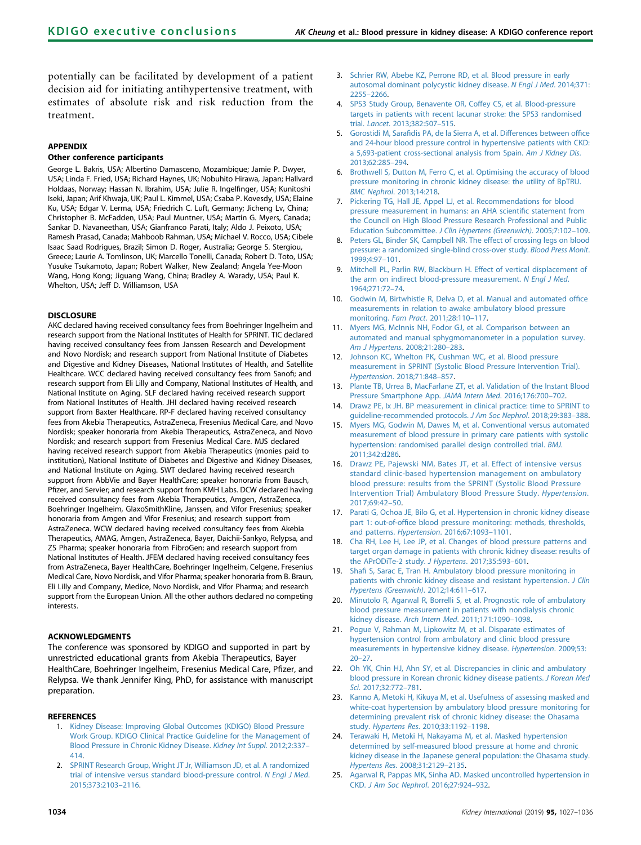<span id="page-7-0"></span>potentially can be facilitated by development of a patient decision aid for initiating antihypertensive treatment, with estimates of absolute risk and risk reduction from the treatment.

#### APPENDIX

#### Other conference participants

George L. Bakris, USA; Albertino Damasceno, Mozambique; Jamie P. Dwyer, USA; Linda F. Fried, USA; Richard Haynes, UK; Nobuhito Hirawa, Japan; Hallvard Holdaas, Norway; Hassan N. Ibrahim, USA; Julie R. Ingelfinger, USA; Kunitoshi Iseki, Japan; Arif Khwaja, UK; Paul L. Kimmel, USA; Csaba P. Kovesdy, USA; Elaine Ku, USA; Edgar V. Lerma, USA; Friedrich C. Luft, Germany; Jicheng Lv, China; Christopher B. McFadden, USA; Paul Muntner, USA; Martin G. Myers, Canada; Sankar D. Navaneethan, USA; Gianfranco Parati, Italy; Aldo J. Peixoto, USA; Ramesh Prasad, Canada; Mahboob Rahman, USA; Michael V. Rocco, USA; Cibele Isaac Saad Rodrigues, Brazil; Simon D. Roger, Australia; George S. Stergiou, Greece; Laurie A. Tomlinson, UK; Marcello Tonelli, Canada; Robert D. Toto, USA; Yusuke Tsukamoto, Japan; Robert Walker, New Zealand; Angela Yee-Moon Wang, Hong Kong; Jiguang Wang, China; Bradley A. Warady, USA; Paul K. Whelton, USA; Jeff D. Williamson, USA

#### **DISCLOSURE**

AKC declared having received consultancy fees from Boehringer Ingelheim and research support from the National Institutes of Health for SPRINT. TIC declared having received consultancy fees from Janssen Research and Development and Novo Nordisk; and research support from National Institute of Diabetes and Digestive and Kidney Diseases, National Institutes of Health, and Satellite Healthcare. WCC declared having received consultancy fees from Sanofi; and research support from Eli Lilly and Company, National Institutes of Health, and National Institute on Aging. SLF declared having received research support from National Institutes of Health. JHI declared having received research support from Baxter Healthcare. RP-F declared having received consultancy fees from Akebia Therapeutics, AstraZeneca, Fresenius Medical Care, and Novo Nordisk; speaker honoraria from Akebia Therapeutics, AstraZeneca, and Novo Nordisk; and research support from Fresenius Medical Care. MJS declared having received research support from Akebia Therapeutics (monies paid to institution), National Institute of Diabetes and Digestive and Kidney Diseases, and National Institute on Aging. SWT declared having received research support from AbbVie and Bayer HealthCare; speaker honoraria from Bausch, Pfizer, and Servier; and research support from KMH Labs. DCW declared having received consultancy fees from Akebia Therapeutics, Amgen, AstraZeneca, Boehringer Ingelheim, GlaxoSmithKline, Janssen, and Vifor Fresenius; speaker honoraria from Amgen and Vifor Fresenius; and research support from AstraZeneca. WCW declared having received consultancy fees from Akebia Therapeutics, AMAG, Amgen, AstraZeneca, Bayer, Daichii-Sankyo, Relypsa, and ZS Pharma; speaker honoraria from FibroGen; and research support from National Institutes of Health. JFEM declared having received consultancy fees from AstraZeneca, Bayer HealthCare, Boehringer Ingelheim, Celgene, Fresenius Medical Care, Novo Nordisk, and Vifor Pharma; speaker honoraria from B. Braun, Eli Lilly and Company, Medice, Novo Nordisk, and Vifor Pharma; and research support from the European Union. All the other authors declared no competing interests.

#### ACKNOWLEDGMENTS

The conference was sponsored by KDIGO and supported in part by unrestricted educational grants from Akebia Therapeutics, Bayer HealthCare, Boehringer Ingelheim, Fresenius Medical Care, Pfizer, and Relypsa. We thank Jennifer King, PhD, for assistance with manuscript preparation.

#### **REFERENCES**

- 1. [Kidney Disease: Improving Global Outcomes \(KDIGO\) Blood Pressure](http://refhub.elsevier.com/S0085-2538(19)30107-3/sref1) [Work Group. KDIGO Clinical Practice Guideline for the Management of](http://refhub.elsevier.com/S0085-2538(19)30107-3/sref1) [Blood Pressure in Chronic Kidney Disease.](http://refhub.elsevier.com/S0085-2538(19)30107-3/sref1) Kidney Int Suppl. 2012;2:337– [414](http://refhub.elsevier.com/S0085-2538(19)30107-3/sref1).
- 2. [SPRINT Research Group, Wright JT Jr, Williamson JD, et al. A randomized](http://refhub.elsevier.com/S0085-2538(19)30107-3/sref2) [trial of intensive versus standard blood-pressure control.](http://refhub.elsevier.com/S0085-2538(19)30107-3/sref2) N Engl J Med. [2015;373:2103](http://refhub.elsevier.com/S0085-2538(19)30107-3/sref2)–2116.
- 3. [Schrier RW, Abebe KZ, Perrone RD, et al. Blood pressure in early](http://refhub.elsevier.com/S0085-2538(19)30107-3/sref3) [autosomal dominant polycystic kidney disease.](http://refhub.elsevier.com/S0085-2538(19)30107-3/sref3) N Engl J Med. 2014;371: 2255–[2266.](http://refhub.elsevier.com/S0085-2538(19)30107-3/sref3)
- 4. [SPS3 Study Group, Benavente OR, Coffey CS, et al. Blood-pressure](http://refhub.elsevier.com/S0085-2538(19)30107-3/sref4) [targets in patients with recent lacunar stroke: the SPS3 randomised](http://refhub.elsevier.com/S0085-2538(19)30107-3/sref4) trial. Lancet[. 2013;382:507](http://refhub.elsevier.com/S0085-2538(19)30107-3/sref4)–515.
- 5. Gorostidi M, Sarafi[dis PA, de la Sierra A, et al. Differences between of](http://refhub.elsevier.com/S0085-2538(19)30107-3/sref5)fice [and 24-hour blood pressure control in hypertensive patients with CKD:](http://refhub.elsevier.com/S0085-2538(19)30107-3/sref5) [a 5,693-patient cross-sectional analysis from Spain.](http://refhub.elsevier.com/S0085-2538(19)30107-3/sref5) Am J Kidney Dis. [2013;62:285](http://refhub.elsevier.com/S0085-2538(19)30107-3/sref5)–294.
- 6. [Brothwell S, Dutton M, Ferro C, et al. Optimising the accuracy of blood](http://refhub.elsevier.com/S0085-2538(19)30107-3/sref6) [pressure monitoring in chronic kidney disease: the utility of BpTRU.](http://refhub.elsevier.com/S0085-2538(19)30107-3/sref6) BMC Nephrol[. 2013;14:218.](http://refhub.elsevier.com/S0085-2538(19)30107-3/sref6)
- 7. [Pickering TG, Hall JE, Appel LJ, et al. Recommendations for blood](http://refhub.elsevier.com/S0085-2538(19)30107-3/sref7) [pressure measurement in humans: an AHA scienti](http://refhub.elsevier.com/S0085-2538(19)30107-3/sref7)fic statement from [the Council on High Blood Pressure Research Professional and Public](http://refhub.elsevier.com/S0085-2538(19)30107-3/sref7) Education Subcommittee. [J Clin Hypertens \(Greenwich\)](http://refhub.elsevier.com/S0085-2538(19)30107-3/sref7). 2005;7:102–109.
- 8. [Peters GL, Binder SK, Campbell NR. The effect of crossing legs on blood](http://refhub.elsevier.com/S0085-2538(19)30107-3/sref8) [pressure: a randomized single-blind cross-over study.](http://refhub.elsevier.com/S0085-2538(19)30107-3/sref8) Blood Press Monit. [1999;4:97](http://refhub.elsevier.com/S0085-2538(19)30107-3/sref8)–101.
- 9. [Mitchell PL, Parlin RW, Blackburn H. Effect of vertical displacement of](http://refhub.elsevier.com/S0085-2538(19)30107-3/sref9) [the arm on indirect blood-pressure measurement.](http://refhub.elsevier.com/S0085-2538(19)30107-3/sref9) N Engl J Med. [1964;271:72](http://refhub.elsevier.com/S0085-2538(19)30107-3/sref9)–74.
- 10. [Godwin M, Birtwhistle R, Delva D, et al. Manual and automated of](http://refhub.elsevier.com/S0085-2538(19)30107-3/sref10)fice [measurements in relation to awake ambulatory blood pressure](http://refhub.elsevier.com/S0085-2538(19)30107-3/sref10) monitoring. Fam Pract[. 2011;28:110](http://refhub.elsevier.com/S0085-2538(19)30107-3/sref10)–117.
- 11. [Myers MG, McInnis NH, Fodor GJ, et al. Comparison between an](http://refhub.elsevier.com/S0085-2538(19)30107-3/sref11) [automated and manual sphygmomanometer in a population survey.](http://refhub.elsevier.com/S0085-2538(19)30107-3/sref11) [Am J Hypertens](http://refhub.elsevier.com/S0085-2538(19)30107-3/sref11). 2008;21:280–283.
- 12. [Johnson KC, Whelton PK, Cushman WC, et al. Blood pressure](http://refhub.elsevier.com/S0085-2538(19)30107-3/sref12) [measurement in SPRINT \(Systolic Blood Pressure Intervention Trial\).](http://refhub.elsevier.com/S0085-2538(19)30107-3/sref12) Hypertension[. 2018;71:848](http://refhub.elsevier.com/S0085-2538(19)30107-3/sref12)–857.
- 13. [Plante TB, Urrea B, MacFarlane ZT, et al. Validation of the Instant Blood](http://refhub.elsevier.com/S0085-2538(19)30107-3/sref13) [Pressure Smartphone App.](http://refhub.elsevier.com/S0085-2538(19)30107-3/sref13) JAMA Intern Med. 2016;176:700–702.
- 14. [Drawz PE, Ix JH. BP measurement in clinical practice: time to SPRINT to](http://refhub.elsevier.com/S0085-2538(19)30107-3/sref14) [guideline-recommended protocols.](http://refhub.elsevier.com/S0085-2538(19)30107-3/sref14) J Am Soc Nephrol. 2018;29:383–388.
- 15. [Myers MG, Godwin M, Dawes M, et al. Conventional versus automated](http://refhub.elsevier.com/S0085-2538(19)30107-3/sref15) [measurement of blood pressure in primary care patients with systolic](http://refhub.elsevier.com/S0085-2538(19)30107-3/sref15) [hypertension: randomised parallel design controlled trial.](http://refhub.elsevier.com/S0085-2538(19)30107-3/sref15) BMJ. [2011;342:d286.](http://refhub.elsevier.com/S0085-2538(19)30107-3/sref15)
- 16. [Drawz PE, Pajewski NM, Bates JT, et al. Effect of intensive versus](http://refhub.elsevier.com/S0085-2538(19)30107-3/sref16) [standard clinic-based hypertension management on ambulatory](http://refhub.elsevier.com/S0085-2538(19)30107-3/sref16) [blood pressure: results from the SPRINT \(Systolic Blood Pressure](http://refhub.elsevier.com/S0085-2538(19)30107-3/sref16) [Intervention Trial\) Ambulatory Blood Pressure Study.](http://refhub.elsevier.com/S0085-2538(19)30107-3/sref16) Hypertension. [2017;69:42](http://refhub.elsevier.com/S0085-2538(19)30107-3/sref16)–50.
- 17. [Parati G, Ochoa JE, Bilo G, et al. Hypertension in chronic kidney disease](http://refhub.elsevier.com/S0085-2538(19)30107-3/sref17) part 1: out-of-offi[ce blood pressure monitoring: methods, thresholds,](http://refhub.elsevier.com/S0085-2538(19)30107-3/sref17) and patterns. Hypertension[. 2016;67:1093](http://refhub.elsevier.com/S0085-2538(19)30107-3/sref17)–1101.
- 18. [Cha RH, Lee H, Lee JP, et al. Changes of blood pressure patterns and](http://refhub.elsevier.com/S0085-2538(19)30107-3/sref18) [target organ damage in patients with chronic kidney disease: results of](http://refhub.elsevier.com/S0085-2538(19)30107-3/sref18) [the APrODiTe-2 study.](http://refhub.elsevier.com/S0085-2538(19)30107-3/sref18) J Hypertens. 2017;35:593–601.
- 19. Shafi [S, Sarac E, Tran H. Ambulatory blood pressure monitoring in](http://refhub.elsevier.com/S0085-2538(19)30107-3/sref19) [patients with chronic kidney disease and resistant hypertension.](http://refhub.elsevier.com/S0085-2538(19)30107-3/sref19) J Clin [Hypertens \(Greenwich\)](http://refhub.elsevier.com/S0085-2538(19)30107-3/sref19). 2012;14:611–617.
- 20. [Minutolo R, Agarwal R, Borrelli S, et al. Prognostic role of ambulatory](http://refhub.elsevier.com/S0085-2538(19)30107-3/sref20) [blood pressure measurement in patients with nondialysis chronic](http://refhub.elsevier.com/S0085-2538(19)30107-3/sref20) kidney disease. [Arch Intern Med](http://refhub.elsevier.com/S0085-2538(19)30107-3/sref20). 2011;171:1090–1098.
- 21. [Pogue V, Rahman M, Lipkowitz M, et al. Disparate estimates of](http://refhub.elsevier.com/S0085-2538(19)30107-3/sref21) [hypertension control from ambulatory and clinic blood pressure](http://refhub.elsevier.com/S0085-2538(19)30107-3/sref21) [measurements in hypertensive kidney disease.](http://refhub.elsevier.com/S0085-2538(19)30107-3/sref21) Hypertension. 2009;53: [20](http://refhub.elsevier.com/S0085-2538(19)30107-3/sref21)–27.
- 22. [Oh YK, Chin HJ, Ahn SY, et al. Discrepancies in clinic and ambulatory](http://refhub.elsevier.com/S0085-2538(19)30107-3/sref22) [blood pressure in Korean chronic kidney disease patients.](http://refhub.elsevier.com/S0085-2538(19)30107-3/sref22) J Korean Med Sci[. 2017;32:772](http://refhub.elsevier.com/S0085-2538(19)30107-3/sref22)–781.
- 23. [Kanno A, Metoki H, Kikuya M, et al. Usefulness of assessing masked and](http://refhub.elsevier.com/S0085-2538(19)30107-3/sref23) [white-coat hypertension by ambulatory blood pressure monitoring for](http://refhub.elsevier.com/S0085-2538(19)30107-3/sref23) [determining prevalent risk of chronic kidney disease: the Ohasama](http://refhub.elsevier.com/S0085-2538(19)30107-3/sref23) study. Hypertens Res[. 2010;33:1192](http://refhub.elsevier.com/S0085-2538(19)30107-3/sref23)–1198.
- 24. [Terawaki H, Metoki H, Nakayama M, et al. Masked hypertension](http://refhub.elsevier.com/S0085-2538(19)30107-3/sref24) [determined by self-measured blood pressure at home and chronic](http://refhub.elsevier.com/S0085-2538(19)30107-3/sref24) [kidney disease in the Japanese general population: the Ohasama study.](http://refhub.elsevier.com/S0085-2538(19)30107-3/sref24) Hypertens Res[. 2008;31:2129](http://refhub.elsevier.com/S0085-2538(19)30107-3/sref24)–2135.
- 25. [Agarwal R, Pappas MK, Sinha AD. Masked uncontrolled hypertension in](http://refhub.elsevier.com/S0085-2538(19)30107-3/sref25) CKD. [J Am Soc Nephrol](http://refhub.elsevier.com/S0085-2538(19)30107-3/sref25). 2016;27:924–932.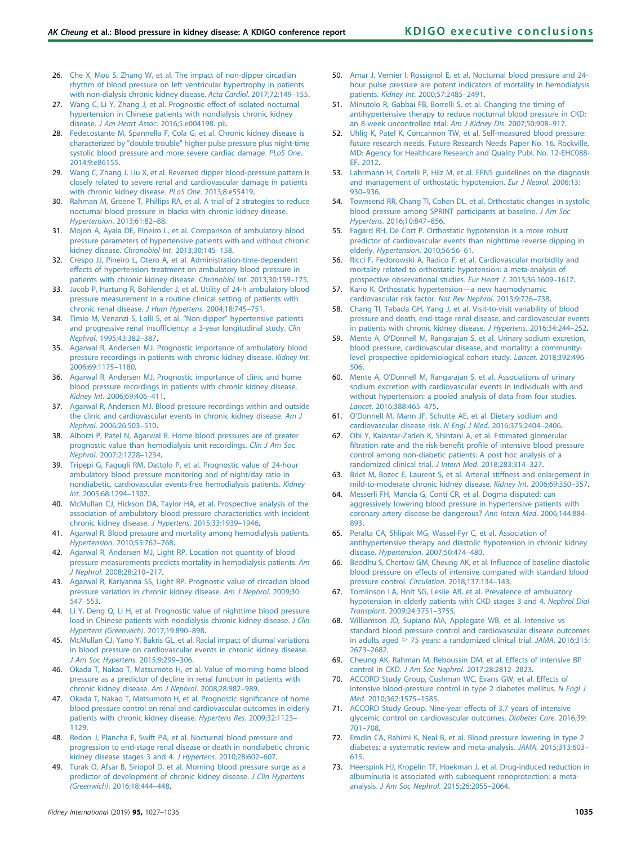- <span id="page-8-0"></span>26. [Che X, Mou S, Zhang W, et al. The impact of non-dipper circadian](http://refhub.elsevier.com/S0085-2538(19)30107-3/sref26) [rhythm of blood pressure on left ventricular hypertrophy in patients](http://refhub.elsevier.com/S0085-2538(19)30107-3/sref26) [with non-dialysis chronic kidney disease.](http://refhub.elsevier.com/S0085-2538(19)30107-3/sref26) Acta Cardiol. 2017;72:149–155.
- 27. [Wang C, Li Y, Zhang J, et al. Prognostic effect of isolated nocturnal](http://refhub.elsevier.com/S0085-2538(19)30107-3/sref27) [hypertension in Chinese patients with nondialysis chronic kidney](http://refhub.elsevier.com/S0085-2538(19)30107-3/sref27) disease. J Am Heart Assoc[. 2016;5:e004198. pii](http://refhub.elsevier.com/S0085-2538(19)30107-3/sref27).
- 28. [Fedecostante M, Spannella F, Cola G, et al. Chronic kidney disease is](http://refhub.elsevier.com/S0085-2538(19)30107-3/sref28) [characterized by "double trouble" higher pulse pressure plus night-time](http://refhub.elsevier.com/S0085-2538(19)30107-3/sref28) [systolic blood pressure and more severe cardiac damage.](http://refhub.elsevier.com/S0085-2538(19)30107-3/sref28) PLoS One. [2014;9:e86155.](http://refhub.elsevier.com/S0085-2538(19)30107-3/sref28)
- 29. [Wang C, Zhang J, Liu X, et al. Reversed dipper blood-pressure pattern is](http://refhub.elsevier.com/S0085-2538(19)30107-3/sref29) [closely related to severe renal and cardiovascular damage in patients](http://refhub.elsevier.com/S0085-2538(19)30107-3/sref29) [with chronic kidney disease.](http://refhub.elsevier.com/S0085-2538(19)30107-3/sref29) PLoS One. 2013;8:e55419.
- 30. [Rahman M, Greene T, Phillips RA, et al. A trial of 2 strategies to reduce](http://refhub.elsevier.com/S0085-2538(19)30107-3/sref30) [nocturnal blood pressure in blacks with chronic kidney disease.](http://refhub.elsevier.com/S0085-2538(19)30107-3/sref30) [Hypertension](http://refhub.elsevier.com/S0085-2538(19)30107-3/sref30). 2013;61:82–88.
- 31. [Mojon A, Ayala DE, Pineiro L, et al. Comparison of ambulatory blood](http://refhub.elsevier.com/S0085-2538(19)30107-3/sref31) [pressure parameters of hypertensive patients with and without chronic](http://refhub.elsevier.com/S0085-2538(19)30107-3/sref31) [kidney disease.](http://refhub.elsevier.com/S0085-2538(19)30107-3/sref31) Chronobiol Int. 2013;30:145–158.
- 32. [Crespo JJ, Pineiro L, Otero A, et al. Administration-time-dependent](http://refhub.elsevier.com/S0085-2538(19)30107-3/sref32) [effects of hypertension treatment on ambulatory blood pressure in](http://refhub.elsevier.com/S0085-2538(19)30107-3/sref32) [patients with chronic kidney disease.](http://refhub.elsevier.com/S0085-2538(19)30107-3/sref32) Chronobiol Int. 2013;30:159–175.
- 33. [Jacob P, Hartung R, Bohlender J, et al. Utility of 24-h ambulatory blood](http://refhub.elsevier.com/S0085-2538(19)30107-3/sref33) [pressure measurement in a routine clinical setting of patients with](http://refhub.elsevier.com/S0085-2538(19)30107-3/sref33) [chronic renal disease.](http://refhub.elsevier.com/S0085-2538(19)30107-3/sref33) J Hum Hypertens. 2004;18:745–751.
- 34. [Timio M, Venanzi S, Lolli S, et al.](http://refhub.elsevier.com/S0085-2538(19)30107-3/sref34) "Non-dipper" hypertensive patients and progressive renal insuffi[ciency: a 3-year longitudinal study.](http://refhub.elsevier.com/S0085-2538(19)30107-3/sref34) Clin Nephrol[. 1995;43:382](http://refhub.elsevier.com/S0085-2538(19)30107-3/sref34)–387.
- 35. [Agarwal R, Andersen MJ. Prognostic importance of ambulatory blood](http://refhub.elsevier.com/S0085-2538(19)30107-3/sref35) [pressure recordings in patients with chronic kidney disease.](http://refhub.elsevier.com/S0085-2538(19)30107-3/sref35) Kidney Int. [2006;69:1175](http://refhub.elsevier.com/S0085-2538(19)30107-3/sref35)–1180.
- 36. [Agarwal R, Andersen MJ. Prognostic importance of clinic and home](http://refhub.elsevier.com/S0085-2538(19)30107-3/sref36) [blood pressure recordings in patients with chronic kidney disease.](http://refhub.elsevier.com/S0085-2538(19)30107-3/sref36) Kidney Int[. 2006;69:406](http://refhub.elsevier.com/S0085-2538(19)30107-3/sref36)–411.
- 37. [Agarwal R, Andersen MJ. Blood pressure recordings within and outside](http://refhub.elsevier.com/S0085-2538(19)30107-3/sref37) [the clinic and cardiovascular events in chronic kidney disease.](http://refhub.elsevier.com/S0085-2538(19)30107-3/sref37) Am J Nephrol[. 2006;26:503](http://refhub.elsevier.com/S0085-2538(19)30107-3/sref37)–510.
- 38. [Alborzi P, Patel N, Agarwal R. Home blood pressures are of greater](http://refhub.elsevier.com/S0085-2538(19)30107-3/sref38) [prognostic value than hemodialysis unit recordings.](http://refhub.elsevier.com/S0085-2538(19)30107-3/sref38) Clin J Am Soc Nephrol[. 2007;2:1228](http://refhub.elsevier.com/S0085-2538(19)30107-3/sref38)–1234.
- 39. [Tripepi G, Fagugli RM, Dattolo P, et al. Prognostic value of 24-hour](http://refhub.elsevier.com/S0085-2538(19)30107-3/sref39) [ambulatory blood pressure monitoring and of night/day ratio in](http://refhub.elsevier.com/S0085-2538(19)30107-3/sref39) [nondiabetic, cardiovascular events-free hemodialysis patients.](http://refhub.elsevier.com/S0085-2538(19)30107-3/sref39) Kidney Int[. 2005;68:1294](http://refhub.elsevier.com/S0085-2538(19)30107-3/sref39)–1302.
- 40. [McMullan CJ, Hickson DA, Taylor HA, et al. Prospective analysis of the](http://refhub.elsevier.com/S0085-2538(19)30107-3/sref40) [association of ambulatory blood pressure characteristics with incident](http://refhub.elsevier.com/S0085-2538(19)30107-3/sref40) [chronic kidney disease.](http://refhub.elsevier.com/S0085-2538(19)30107-3/sref40) J Hypertens. 2015;33:1939–1946.
- 41. [Agarwal R. Blood pressure and mortality among hemodialysis patients.](http://refhub.elsevier.com/S0085-2538(19)30107-3/sref41) Hypertension[. 2010;55:762](http://refhub.elsevier.com/S0085-2538(19)30107-3/sref41)–768.
- 42. [Agarwal R, Andersen MJ, Light RP. Location not quantity of blood](http://refhub.elsevier.com/S0085-2538(19)30107-3/sref42) [pressure measurements predicts mortality in hemodialysis patients.](http://refhub.elsevier.com/S0085-2538(19)30107-3/sref42) Am J Nephrol[. 2008;28:210](http://refhub.elsevier.com/S0085-2538(19)30107-3/sref42)–217.
- 43. [Agarwal R, Kariyanna SS, Light RP. Prognostic value of circadian blood](http://refhub.elsevier.com/S0085-2538(19)30107-3/sref43) [pressure variation in chronic kidney disease.](http://refhub.elsevier.com/S0085-2538(19)30107-3/sref43) Am J Nephrol. 2009;30: [547](http://refhub.elsevier.com/S0085-2538(19)30107-3/sref43)–553.
- 44. [Li Y, Deng Q, Li H, et al. Prognostic value of nighttime blood pressure](http://refhub.elsevier.com/S0085-2538(19)30107-3/sref44) [load in Chinese patients with nondialysis chronic kidney disease.](http://refhub.elsevier.com/S0085-2538(19)30107-3/sref44) J Clin [Hypertens \(Greenwich\)](http://refhub.elsevier.com/S0085-2538(19)30107-3/sref44). 2017;19:890–898.
- 45. [McMullan CJ, Yano Y, Bakris GL, et al. Racial impact of diurnal variations](http://refhub.elsevier.com/S0085-2538(19)30107-3/sref45) [in blood pressure on cardiovascular events in chronic kidney disease.](http://refhub.elsevier.com/S0085-2538(19)30107-3/sref45) [J Am Soc Hypertens](http://refhub.elsevier.com/S0085-2538(19)30107-3/sref45). 2015;9:299–306.
- 46. [Okada T, Nakao T, Matsumoto H, et al. Value of morning home blood](http://refhub.elsevier.com/S0085-2538(19)30107-3/sref46) [pressure as a predictor of decline in renal function in patients with](http://refhub.elsevier.com/S0085-2538(19)30107-3/sref46) [chronic kidney disease.](http://refhub.elsevier.com/S0085-2538(19)30107-3/sref46) Am J Nephrol. 2008;28:982–989.
- 47. [Okada T, Nakao T, Matsumoto H, et al. Prognostic signi](http://refhub.elsevier.com/S0085-2538(19)30107-3/sref47)ficance of home [blood pressure control on renal and cardiovascular outcomes in elderly](http://refhub.elsevier.com/S0085-2538(19)30107-3/sref47) [patients with chronic kidney disease.](http://refhub.elsevier.com/S0085-2538(19)30107-3/sref47) Hypertens Res. 2009;32:1123– [1129](http://refhub.elsevier.com/S0085-2538(19)30107-3/sref47).
- 48. [Redon J, Plancha E, Swift PA, et al. Nocturnal blood pressure and](http://refhub.elsevier.com/S0085-2538(19)30107-3/sref48) [progression to end-stage renal disease or death in nondiabetic chronic](http://refhub.elsevier.com/S0085-2538(19)30107-3/sref48) [kidney disease stages 3 and 4.](http://refhub.elsevier.com/S0085-2538(19)30107-3/sref48) J Hypertens. 2010;28:602–607.
- 49. [Turak O, Afsar B, Siriopol D, et al. Morning blood pressure surge as a](http://refhub.elsevier.com/S0085-2538(19)30107-3/sref49) [predictor of development of chronic kidney disease.](http://refhub.elsevier.com/S0085-2538(19)30107-3/sref49) J Clin Hypertens (Greenwich)[. 2016;18:444](http://refhub.elsevier.com/S0085-2538(19)30107-3/sref49)–448.
- 50. [Amar J, Vernier I, Rossignol E, et al. Nocturnal blood pressure and 24](http://refhub.elsevier.com/S0085-2538(19)30107-3/sref50) [hour pulse pressure are potent indicators of mortality in hemodialysis](http://refhub.elsevier.com/S0085-2538(19)30107-3/sref50) patients. Kidney Int[. 2000;57:2485](http://refhub.elsevier.com/S0085-2538(19)30107-3/sref50)–2491.
- 51. [Minutolo R, Gabbai FB, Borrelli S, et al. Changing the timing of](http://refhub.elsevier.com/S0085-2538(19)30107-3/sref51) [antihypertensive therapy to reduce nocturnal blood pressure in CKD:](http://refhub.elsevier.com/S0085-2538(19)30107-3/sref51) [an 8-week uncontrolled trial.](http://refhub.elsevier.com/S0085-2538(19)30107-3/sref51) Am J Kidney Dis. 2007;50:908-917.
- 52. [Uhlig K, Patel K, Concannon TW, et al. Self-measured blood pressure:](http://refhub.elsevier.com/S0085-2538(19)30107-3/sref52) [future research needs. Future Research Needs Paper No. 16. Rockville,](http://refhub.elsevier.com/S0085-2538(19)30107-3/sref52) [MD: Agency for Healthcare Research and Quality Publ. No. 12-EHC088-](http://refhub.elsevier.com/S0085-2538(19)30107-3/sref52) [EF. 2012.](http://refhub.elsevier.com/S0085-2538(19)30107-3/sref52)
- 53. [Lahrmann H, Cortelli P, Hilz M, et al. EFNS guidelines on the diagnosis](http://refhub.elsevier.com/S0085-2538(19)30107-3/sref53) [and management of orthostatic hypotension.](http://refhub.elsevier.com/S0085-2538(19)30107-3/sref53) Eur J Neurol. 2006;13: 930–[936.](http://refhub.elsevier.com/S0085-2538(19)30107-3/sref53)
- 54. [Townsend RR, Chang TI, Cohen DL, et al. Orthostatic changes in systolic](http://refhub.elsevier.com/S0085-2538(19)30107-3/sref54) [blood pressure among SPRINT participants at baseline.](http://refhub.elsevier.com/S0085-2538(19)30107-3/sref54) J Am Soc Hypertens[. 2016;10:847](http://refhub.elsevier.com/S0085-2538(19)30107-3/sref54)–856.
- 55. [Fagard RH, De Cort P. Orthostatic hypotension is a more robust](http://refhub.elsevier.com/S0085-2538(19)30107-3/sref55) [predictor of cardiovascular events than nighttime reverse dipping in](http://refhub.elsevier.com/S0085-2538(19)30107-3/sref55) elderly. [Hypertension](http://refhub.elsevier.com/S0085-2538(19)30107-3/sref55). 2010;56:56–61.
- 56. [Ricci F, Fedorowski A, Radico F, et al. Cardiovascular morbidity and](http://refhub.elsevier.com/S0085-2538(19)30107-3/sref56) [mortality related to orthostatic hypotension: a meta-analysis of](http://refhub.elsevier.com/S0085-2538(19)30107-3/sref56) [prospective observational studies.](http://refhub.elsevier.com/S0085-2538(19)30107-3/sref56) Eur Heart J. 2015;36:1609–1617.
- 57. [Kario K. Orthostatic hypertension](http://refhub.elsevier.com/S0085-2538(19)30107-3/sref57)—a new haemodynamic [cardiovascular risk factor.](http://refhub.elsevier.com/S0085-2538(19)30107-3/sref57) Nat Rev Nephrol. 2013;9:726–738.
- 58. [Chang TI, Tabada GH, Yang J, et al. Visit-to-visit variability of blood](http://refhub.elsevier.com/S0085-2538(19)30107-3/sref58) [pressure and death, end-stage renal disease, and cardiovascular events](http://refhub.elsevier.com/S0085-2538(19)30107-3/sref58) [in patients with chronic kidney disease.](http://refhub.elsevier.com/S0085-2538(19)30107-3/sref58) J Hypertens. 2016;34:244–252.
- 59. Mente A, O'[Donnell M, Rangarajan S, et al. Urinary sodium excretion,](http://refhub.elsevier.com/S0085-2538(19)30107-3/sref59) [blood pressure, cardiovascular disease, and mortality: a community](http://refhub.elsevier.com/S0085-2538(19)30107-3/sref59)[level prospective epidemiological cohort study.](http://refhub.elsevier.com/S0085-2538(19)30107-3/sref59) Lancet. 2018;392:496– [506.](http://refhub.elsevier.com/S0085-2538(19)30107-3/sref59)
- 60. Mente A, O'[Donnell M, Rangarajan S, et al. Associations of urinary](http://refhub.elsevier.com/S0085-2538(19)30107-3/sref60) [sodium excretion with cardiovascular events in individuals with and](http://refhub.elsevier.com/S0085-2538(19)30107-3/sref60) [without hypertension: a pooled analysis of data from four studies.](http://refhub.elsevier.com/S0085-2538(19)30107-3/sref60) Lancet[. 2016;388:465](http://refhub.elsevier.com/S0085-2538(19)30107-3/sref60)–475.
- 61. O'[Donnell M, Mann JF, Schutte AE, et al. Dietary sodium and](http://refhub.elsevier.com/S0085-2538(19)30107-3/sref61) [cardiovascular disease risk.](http://refhub.elsevier.com/S0085-2538(19)30107-3/sref61) N Engl J Med. 2016;375:2404–2406.
- 62. [Obi Y, Kalantar-Zadeh K, Shintani A, et al. Estimated glomerular](http://refhub.elsevier.com/S0085-2538(19)30107-3/sref62) fi[ltration rate and the risk-bene](http://refhub.elsevier.com/S0085-2538(19)30107-3/sref62)fit profile of intensive blood pressure [control among non-diabetic patients: A post hoc analysis of a](http://refhub.elsevier.com/S0085-2538(19)30107-3/sref62) [randomized clinical trial.](http://refhub.elsevier.com/S0085-2538(19)30107-3/sref62) J Intern Med. 2018;283:314–327.
- 63. [Briet M, Bozec E, Laurent S, et al. Arterial stiffness and enlargement in](http://refhub.elsevier.com/S0085-2538(19)30107-3/sref63) [mild-to-moderate chronic kidney disease.](http://refhub.elsevier.com/S0085-2538(19)30107-3/sref63) Kidney Int. 2006;69:350–357.
- 64. [Messerli FH, Mancia G, Conti CR, et al. Dogma disputed: can](http://refhub.elsevier.com/S0085-2538(19)30107-3/sref64) [aggressively lowering blood pressure in hypertensive patients with](http://refhub.elsevier.com/S0085-2538(19)30107-3/sref64) [coronary artery disease be dangerous?](http://refhub.elsevier.com/S0085-2538(19)30107-3/sref64) Ann Intern Med. 2006;144:884– [893.](http://refhub.elsevier.com/S0085-2538(19)30107-3/sref64)
- 65. [Peralta CA, Shlipak MG, Wassel-Fyr C, et al. Association of](http://refhub.elsevier.com/S0085-2538(19)30107-3/sref65) [antihypertensive therapy and diastolic hypotension in chronic kidney](http://refhub.elsevier.com/S0085-2538(19)30107-3/sref65) disease. Hypertension[. 2007;50:474](http://refhub.elsevier.com/S0085-2538(19)30107-3/sref65)–480.
- 66. [Beddhu S, Chertow GM, Cheung AK, et al. In](http://refhub.elsevier.com/S0085-2538(19)30107-3/sref66)fluence of baseline diastolic [blood pressure on effects of intensive compared with standard blood](http://refhub.elsevier.com/S0085-2538(19)30107-3/sref66) [pressure control.](http://refhub.elsevier.com/S0085-2538(19)30107-3/sref66) Circulation. 2018;137:134–143.
- [Tomlinson LA, Holt SG, Leslie AR, et al. Prevalence of ambulatory](http://refhub.elsevier.com/S0085-2538(19)30107-3/sref67) [hypotension in elderly patients with CKD stages 3 and 4.](http://refhub.elsevier.com/S0085-2538(19)30107-3/sref67) Nephrol Dial Transplant[. 2009;24:3751](http://refhub.elsevier.com/S0085-2538(19)30107-3/sref67)–3755.
- 68. [Williamson JD, Supiano MA, Applegate WB, et al. Intensive vs](http://refhub.elsevier.com/S0085-2538(19)30107-3/sref68) [standard blood pressure control and cardiovascular disease outcomes](http://refhub.elsevier.com/S0085-2538(19)30107-3/sref68) [in adults aged](http://refhub.elsevier.com/S0085-2538(19)30107-3/sref68)  $\geq$  [75 years: a randomized clinical trial.](http://refhub.elsevier.com/S0085-2538(19)30107-3/sref68) JAMA. 2016;315: 2673–[2682.](http://refhub.elsevier.com/S0085-2538(19)30107-3/sref68)
- 69. [Cheung AK, Rahman M, Reboussin DM, et al. Effects of intensive BP](http://refhub.elsevier.com/S0085-2538(19)30107-3/sref69) control in CKD. [J Am Soc Nephrol](http://refhub.elsevier.com/S0085-2538(19)30107-3/sref69). 2017;28:2812–2823.
- 70. [ACCORD Study Group, Cushman WC, Evans GW, et al. Effects of](http://refhub.elsevier.com/S0085-2538(19)30107-3/sref70) [intensive blood-pressure control in type 2 diabetes mellitus.](http://refhub.elsevier.com/S0085-2538(19)30107-3/sref70) N Engl J Med[. 2010;362:1575](http://refhub.elsevier.com/S0085-2538(19)30107-3/sref70)–1585.
- 71. [ACCORD Study Group. Nine-year effects of 3.7 years of intensive](http://refhub.elsevier.com/S0085-2538(19)30107-3/sref71) [glycemic control on cardiovascular outcomes.](http://refhub.elsevier.com/S0085-2538(19)30107-3/sref71) Diabetes Care. 2016;39: 701–[708.](http://refhub.elsevier.com/S0085-2538(19)30107-3/sref71)
- 72. [Emdin CA, Rahimi K, Neal B, et al. Blood pressure lowering in type 2](http://refhub.elsevier.com/S0085-2538(19)30107-3/sref72) [diabetes: a systematic review and meta-analysis.](http://refhub.elsevier.com/S0085-2538(19)30107-3/sref72) JAMA. 2015;313:603– [615.](http://refhub.elsevier.com/S0085-2538(19)30107-3/sref72)
- 73. [Heerspink HJ, Kropelin TF, Hoekman J, et al. Drug-induced reduction in](http://refhub.elsevier.com/S0085-2538(19)30107-3/sref73) [albuminuria is associated with subsequent renoprotection: a meta](http://refhub.elsevier.com/S0085-2538(19)30107-3/sref73)analysis. [J Am Soc Nephrol](http://refhub.elsevier.com/S0085-2538(19)30107-3/sref73). 2015;26:2055–2064.